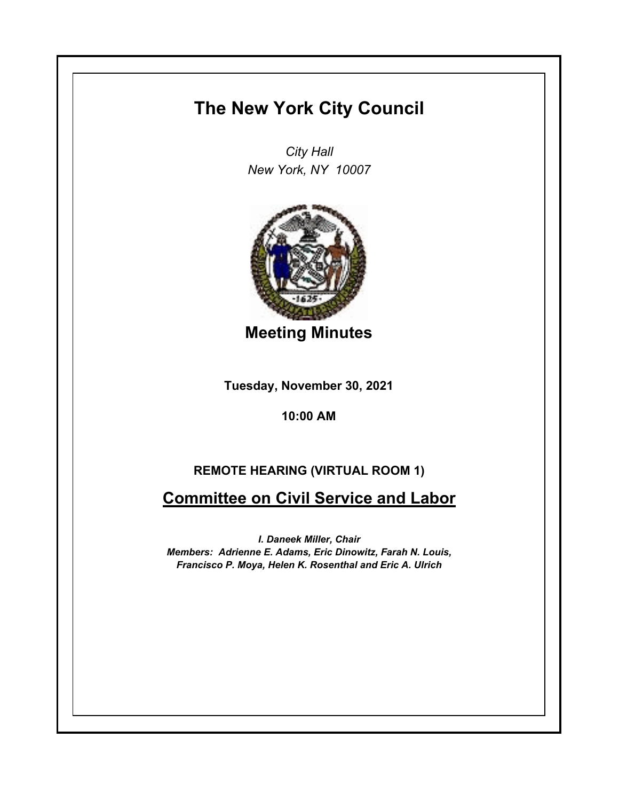## **The New York City Council**

*City Hall New York, NY 10007*



**Meeting Minutes**

**Tuesday, November 30, 2021**

**10:00 AM**

## **REMOTE HEARING (VIRTUAL ROOM 1)**

**Committee on Civil Service and Labor**

*I. Daneek Miller, Chair Members: Adrienne E. Adams, Eric Dinowitz, Farah N. Louis, Francisco P. Moya, Helen K. Rosenthal and Eric A. Ulrich*